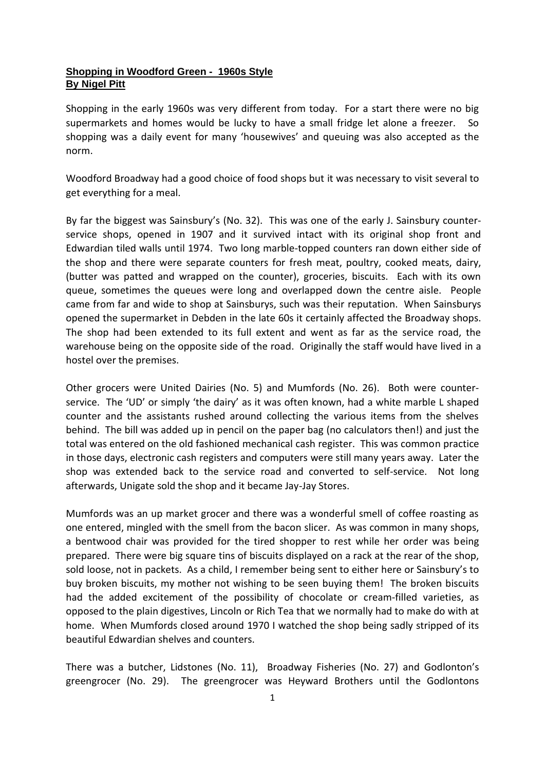## **Shopping in Woodford Green - 1960s Style By Nigel Pitt**

Shopping in the early 1960s was very different from today. For a start there were no big supermarkets and homes would be lucky to have a small fridge let alone a freezer. So shopping was a daily event for many 'housewives' and queuing was also accepted as the norm.

Woodford Broadway had a good choice of food shops but it was necessary to visit several to get everything for a meal.

By far the biggest was Sainsbury's (No. 32). This was one of the early J. Sainsbury counterservice shops, opened in 1907 and it survived intact with its original shop front and Edwardian tiled walls until 1974. Two long marble-topped counters ran down either side of the shop and there were separate counters for fresh meat, poultry, cooked meats, dairy, (butter was patted and wrapped on the counter), groceries, biscuits. Each with its own queue, sometimes the queues were long and overlapped down the centre aisle. People came from far and wide to shop at Sainsburys, such was their reputation. When Sainsburys opened the supermarket in Debden in the late 60s it certainly affected the Broadway shops. The shop had been extended to its full extent and went as far as the service road, the warehouse being on the opposite side of the road. Originally the staff would have lived in a hostel over the premises.

Other grocers were United Dairies (No. 5) and Mumfords (No. 26). Both were counterservice. The 'UD' or simply 'the dairy' as it was often known, had a white marble L shaped counter and the assistants rushed around collecting the various items from the shelves behind. The bill was added up in pencil on the paper bag (no calculators then!) and just the total was entered on the old fashioned mechanical cash register. This was common practice in those days, electronic cash registers and computers were still many years away. Later the shop was extended back to the service road and converted to self-service. Not long afterwards, Unigate sold the shop and it became Jay-Jay Stores.

Mumfords was an up market grocer and there was a wonderful smell of coffee roasting as one entered, mingled with the smell from the bacon slicer. As was common in many shops, a bentwood chair was provided for the tired shopper to rest while her order was being prepared. There were big square tins of biscuits displayed on a rack at the rear of the shop, sold loose, not in packets. As a child, I remember being sent to either here or Sainsbury's to buy broken biscuits, my mother not wishing to be seen buying them! The broken biscuits had the added excitement of the possibility of chocolate or cream-filled varieties, as opposed to the plain digestives, Lincoln or Rich Tea that we normally had to make do with at home. When Mumfords closed around 1970 I watched the shop being sadly stripped of its beautiful Edwardian shelves and counters.

There was a butcher, Lidstones (No. 11), Broadway Fisheries (No. 27) and Godlonton's greengrocer (No. 29). The greengrocer was Heyward Brothers until the Godlontons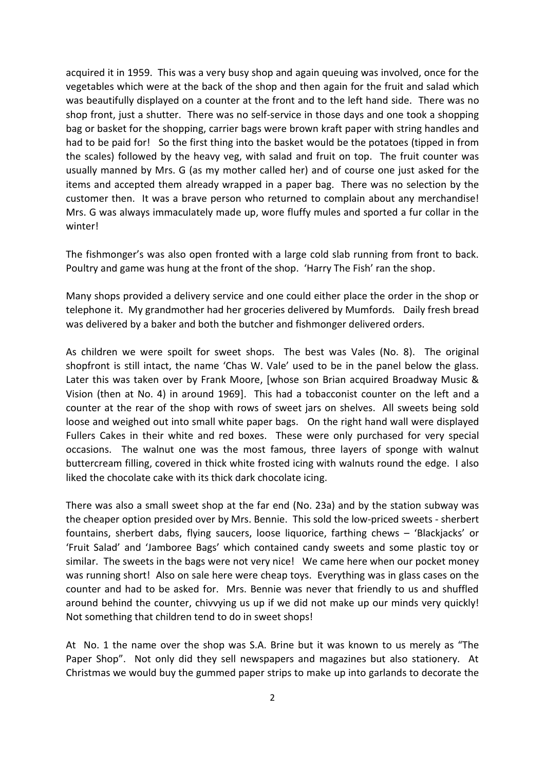acquired it in 1959. This was a very busy shop and again queuing was involved, once for the vegetables which were at the back of the shop and then again for the fruit and salad which was beautifully displayed on a counter at the front and to the left hand side. There was no shop front, just a shutter. There was no self-service in those days and one took a shopping bag or basket for the shopping, carrier bags were brown kraft paper with string handles and had to be paid for! So the first thing into the basket would be the potatoes (tipped in from the scales) followed by the heavy veg, with salad and fruit on top. The fruit counter was usually manned by Mrs. G (as my mother called her) and of course one just asked for the items and accepted them already wrapped in a paper bag. There was no selection by the customer then. It was a brave person who returned to complain about any merchandise! Mrs. G was always immaculately made up, wore fluffy mules and sported a fur collar in the winter!

The fishmonger's was also open fronted with a large cold slab running from front to back. Poultry and game was hung at the front of the shop. 'Harry The Fish' ran the shop.

Many shops provided a delivery service and one could either place the order in the shop or telephone it. My grandmother had her groceries delivered by Mumfords. Daily fresh bread was delivered by a baker and both the butcher and fishmonger delivered orders.

As children we were spoilt for sweet shops. The best was Vales (No. 8). The original shopfront is still intact, the name 'Chas W. Vale' used to be in the panel below the glass. Later this was taken over by Frank Moore, [whose son Brian acquired Broadway Music & Vision (then at No. 4) in around 1969]. This had a tobacconist counter on the left and a counter at the rear of the shop with rows of sweet jars on shelves. All sweets being sold loose and weighed out into small white paper bags. On the right hand wall were displayed Fullers Cakes in their white and red boxes. These were only purchased for very special occasions. The walnut one was the most famous, three layers of sponge with walnut buttercream filling, covered in thick white frosted icing with walnuts round the edge. I also liked the chocolate cake with its thick dark chocolate icing.

There was also a small sweet shop at the far end (No. 23a) and by the station subway was the cheaper option presided over by Mrs. Bennie. This sold the low-priced sweets - sherbert fountains, sherbert dabs, flying saucers, loose liquorice, farthing chews – 'Blackjacks' or 'Fruit Salad' and 'Jamboree Bags' which contained candy sweets and some plastic toy or similar. The sweets in the bags were not very nice! We came here when our pocket money was running short! Also on sale here were cheap toys. Everything was in glass cases on the counter and had to be asked for. Mrs. Bennie was never that friendly to us and shuffled around behind the counter, chivvying us up if we did not make up our minds very quickly! Not something that children tend to do in sweet shops!

At No. 1 the name over the shop was S.A. Brine but it was known to us merely as "The Paper Shop". Not only did they sell newspapers and magazines but also stationery. At Christmas we would buy the gummed paper strips to make up into garlands to decorate the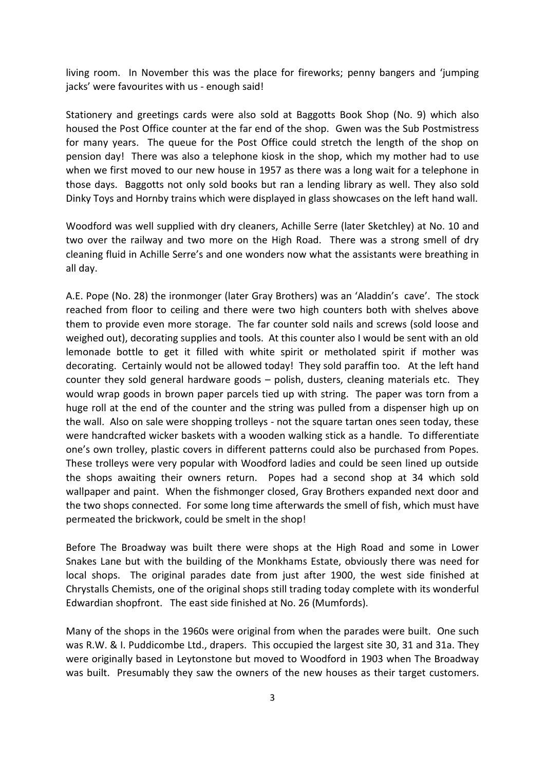living room. In November this was the place for fireworks; penny bangers and 'jumping jacks' were favourites with us - enough said!

Stationery and greetings cards were also sold at Baggotts Book Shop (No. 9) which also housed the Post Office counter at the far end of the shop. Gwen was the Sub Postmistress for many years. The queue for the Post Office could stretch the length of the shop on pension day! There was also a telephone kiosk in the shop, which my mother had to use when we first moved to our new house in 1957 as there was a long wait for a telephone in those days. Baggotts not only sold books but ran a lending library as well. They also sold Dinky Toys and Hornby trains which were displayed in glass showcases on the left hand wall.

Woodford was well supplied with dry cleaners, Achille Serre (later Sketchley) at No. 10 and two over the railway and two more on the High Road. There was a strong smell of dry cleaning fluid in Achille Serre's and one wonders now what the assistants were breathing in all day.

A.E. Pope (No. 28) the ironmonger (later Gray Brothers) was an 'Aladdin's cave'. The stock reached from floor to ceiling and there were two high counters both with shelves above them to provide even more storage. The far counter sold nails and screws (sold loose and weighed out), decorating supplies and tools. At this counter also I would be sent with an old lemonade bottle to get it filled with white spirit or metholated spirit if mother was decorating. Certainly would not be allowed today! They sold paraffin too. At the left hand counter they sold general hardware goods – polish, dusters, cleaning materials etc. They would wrap goods in brown paper parcels tied up with string. The paper was torn from a huge roll at the end of the counter and the string was pulled from a dispenser high up on the wall. Also on sale were shopping trolleys - not the square tartan ones seen today, these were handcrafted wicker baskets with a wooden walking stick as a handle. To differentiate one's own trolley, plastic covers in different patterns could also be purchased from Popes. These trolleys were very popular with Woodford ladies and could be seen lined up outside the shops awaiting their owners return. Popes had a second shop at 34 which sold wallpaper and paint. When the fishmonger closed, Gray Brothers expanded next door and the two shops connected. For some long time afterwards the smell of fish, which must have permeated the brickwork, could be smelt in the shop!

Before The Broadway was built there were shops at the High Road and some in Lower Snakes Lane but with the building of the Monkhams Estate, obviously there was need for local shops. The original parades date from just after 1900, the west side finished at Chrystalls Chemists, one of the original shops still trading today complete with its wonderful Edwardian shopfront. The east side finished at No. 26 (Mumfords).

Many of the shops in the 1960s were original from when the parades were built. One such was R.W. & I. Puddicombe Ltd., drapers. This occupied the largest site 30, 31 and 31a. They were originally based in Leytonstone but moved to Woodford in 1903 when The Broadway was built. Presumably they saw the owners of the new houses as their target customers.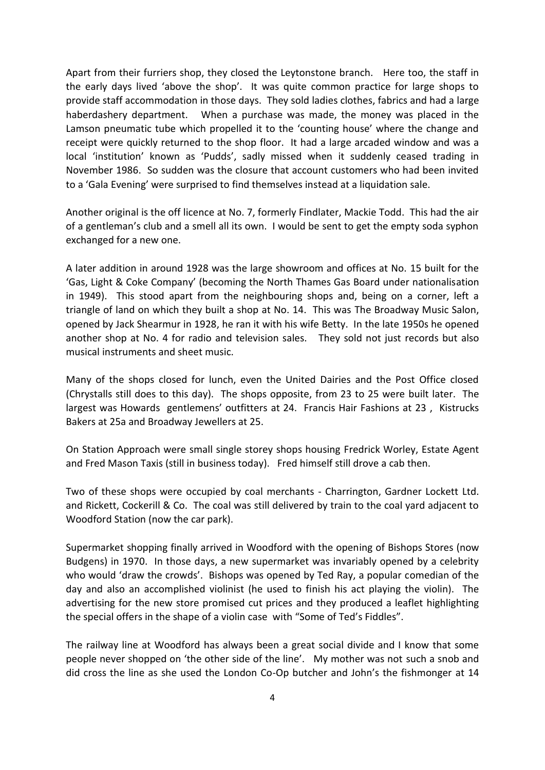Apart from their furriers shop, they closed the Leytonstone branch. Here too, the staff in the early days lived 'above the shop'. It was quite common practice for large shops to provide staff accommodation in those days. They sold ladies clothes, fabrics and had a large haberdashery department. When a purchase was made, the money was placed in the Lamson pneumatic tube which propelled it to the 'counting house' where the change and receipt were quickly returned to the shop floor. It had a large arcaded window and was a local 'institution' known as 'Pudds', sadly missed when it suddenly ceased trading in November 1986. So sudden was the closure that account customers who had been invited to a 'Gala Evening' were surprised to find themselves instead at a liquidation sale.

Another original is the off licence at No. 7, formerly Findlater, Mackie Todd. This had the air of a gentleman's club and a smell all its own. I would be sent to get the empty soda syphon exchanged for a new one.

A later addition in around 1928 was the large showroom and offices at No. 15 built for the 'Gas, Light & Coke Company' (becoming the North Thames Gas Board under nationalisation in 1949). This stood apart from the neighbouring shops and, being on a corner, left a triangle of land on which they built a shop at No. 14. This was The Broadway Music Salon, opened by Jack Shearmur in 1928, he ran it with his wife Betty. In the late 1950s he opened another shop at No. 4 for radio and television sales. They sold not just records but also musical instruments and sheet music.

Many of the shops closed for lunch, even the United Dairies and the Post Office closed (Chrystalls still does to this day). The shops opposite, from 23 to 25 were built later. The largest was Howards gentlemens' outfitters at 24. Francis Hair Fashions at 23 , Kistrucks Bakers at 25a and Broadway Jewellers at 25.

On Station Approach were small single storey shops housing Fredrick Worley, Estate Agent and Fred Mason Taxis (still in business today). Fred himself still drove a cab then.

Two of these shops were occupied by coal merchants - Charrington, Gardner Lockett Ltd. and Rickett, Cockerill & Co. The coal was still delivered by train to the coal yard adjacent to Woodford Station (now the car park).

Supermarket shopping finally arrived in Woodford with the opening of Bishops Stores (now Budgens) in 1970. In those days, a new supermarket was invariably opened by a celebrity who would 'draw the crowds'. Bishops was opened by Ted Ray, a popular comedian of the day and also an accomplished violinist (he used to finish his act playing the violin). The advertising for the new store promised cut prices and they produced a leaflet highlighting the special offers in the shape of a violin case with "Some of Ted's Fiddles".

The railway line at Woodford has always been a great social divide and I know that some people never shopped on 'the other side of the line'. My mother was not such a snob and did cross the line as she used the London Co-Op butcher and John's the fishmonger at 14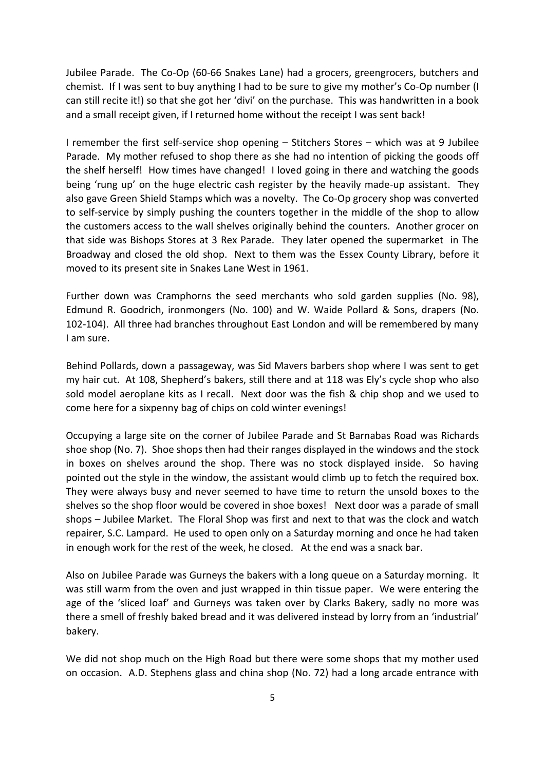Jubilee Parade. The Co-Op (60-66 Snakes Lane) had a grocers, greengrocers, butchers and chemist. If I was sent to buy anything I had to be sure to give my mother's Co-Op number (I can still recite it!) so that she got her 'divi' on the purchase. This was handwritten in a book and a small receipt given, if I returned home without the receipt I was sent back!

I remember the first self-service shop opening – Stitchers Stores – which was at 9 Jubilee Parade. My mother refused to shop there as she had no intention of picking the goods off the shelf herself! How times have changed! I loved going in there and watching the goods being 'rung up' on the huge electric cash register by the heavily made-up assistant. They also gave Green Shield Stamps which was a novelty. The Co-Op grocery shop was converted to self-service by simply pushing the counters together in the middle of the shop to allow the customers access to the wall shelves originally behind the counters. Another grocer on that side was Bishops Stores at 3 Rex Parade. They later opened the supermarket in The Broadway and closed the old shop. Next to them was the Essex County Library, before it moved to its present site in Snakes Lane West in 1961.

Further down was Cramphorns the seed merchants who sold garden supplies (No. 98), Edmund R. Goodrich, ironmongers (No. 100) and W. Waide Pollard & Sons, drapers (No. 102-104). All three had branches throughout East London and will be remembered by many I am sure.

Behind Pollards, down a passageway, was Sid Mavers barbers shop where I was sent to get my hair cut. At 108, Shepherd's bakers, still there and at 118 was Ely's cycle shop who also sold model aeroplane kits as I recall. Next door was the fish & chip shop and we used to come here for a sixpenny bag of chips on cold winter evenings!

Occupying a large site on the corner of Jubilee Parade and St Barnabas Road was Richards shoe shop (No. 7). Shoe shops then had their ranges displayed in the windows and the stock in boxes on shelves around the shop. There was no stock displayed inside. So having pointed out the style in the window, the assistant would climb up to fetch the required box. They were always busy and never seemed to have time to return the unsold boxes to the shelves so the shop floor would be covered in shoe boxes! Next door was a parade of small shops – Jubilee Market. The Floral Shop was first and next to that was the clock and watch repairer, S.C. Lampard. He used to open only on a Saturday morning and once he had taken in enough work for the rest of the week, he closed. At the end was a snack bar.

Also on Jubilee Parade was Gurneys the bakers with a long queue on a Saturday morning. It was still warm from the oven and just wrapped in thin tissue paper. We were entering the age of the 'sliced loaf' and Gurneys was taken over by Clarks Bakery, sadly no more was there a smell of freshly baked bread and it was delivered instead by lorry from an 'industrial' bakery.

We did not shop much on the High Road but there were some shops that my mother used on occasion. A.D. Stephens glass and china shop (No. 72) had a long arcade entrance with